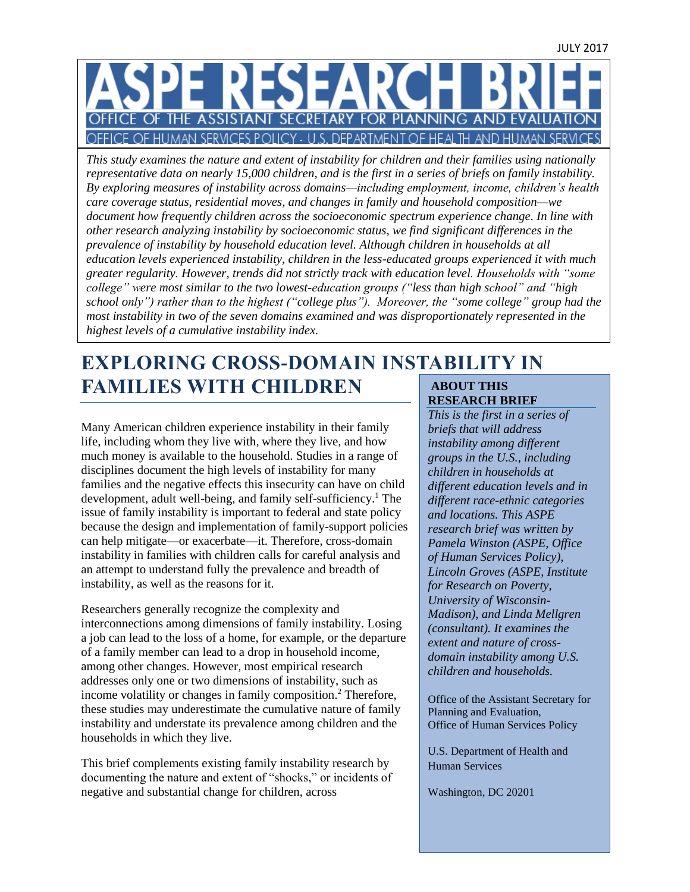# PE RESEAR **CE OF THE ASSISTANT** SECRETARY FOR PLANNING AND OFFICE OF HUMAN SERVICES POLICY - U.S. DEPARTMENT OF HEALTH AND HUMAN SERVICES

*This study examines the nature and extent of instability for children and their families using nationally representative data on nearly 15,000 children, and is the first in a series of briefs on family instability. By exploring measures of instability across domains—including employment, income, children's health care coverage status, residential moves, and changes in family and household composition—we document how frequently children across the socioeconomic spectrum experience change. In line with other research analyzing instability by socioeconomic status, we find significant differences in the prevalence of instability by household education level. Although children in households at all education levels experienced instability, children in the less-educated groups experienced it with much greater regularity. However, trends did not strictly track with education level. Households with "some college" were most similar to the two lowest-education groups ("less than high school" and "high school only") rather than to the highest ("college plus"). Moreover, the "some college" group had the most instability in two of the seven domains examined and was disproportionately represented in the highest levels of a cumulative instability index.*

## **EXPLORING CROSS-DOMAIN INSTABILITY IN FAMILIES WITH CHILDREN ABOUT THIS**

Many American children experience instability in their family life, including whom they live with, where they live, and how much money is available to the household. Studies in a range of disciplines document the high levels of instability for many families and the negative effects this insecurity can have on child development, adult well-being, and family self-sufficiency. <sup>1</sup> The issue of family instability is important to federal and state policy because the design and implementation of family-support policies can help mitigate—or exacerbate—it. Therefore, cross-domain instability in families with children calls for careful analysis and an attempt to understand fully the prevalence and breadth of instability, as well as the reasons for it.

Researchers generally recognize the complexity and interconnections among dimensions of family instability. Losing a job can lead to the loss of a home, for example, or the departure of a family member can lead to a drop in household income, among other changes. However, most empirical research addresses only one or two dimensions of instability, such as income volatility or changes in family composition.<sup>2</sup> Therefore, these studies may underestimate the cumulative nature of family instability and understate its prevalence among children and the households in which they live.

This brief complements existing family instability research by documenting the nature and extent of "shocks," or incidents of negative and substantial change for children, across

# **RESEARCH BRIEF**

*This is the first in a series of briefs that will address instability among different groups in the U.S., including children in households at different education levels and in different race-ethnic categories and locations. This ASPE research brief was written by Pamela Winston (ASPE, Office of Human Services Policy), Lincoln Groves (ASPE, Institute for Research on Poverty, University of Wisconsin-Madison), and Linda Mellgren (consultant). It examines the extent and nature of crossdomain instability among U.S. children and households.* 

Office of the Assistant Secretary for Planning and Evaluation, Office of Human Services Policy

U.S. Department of Health and Human Services

Washington, DC 20201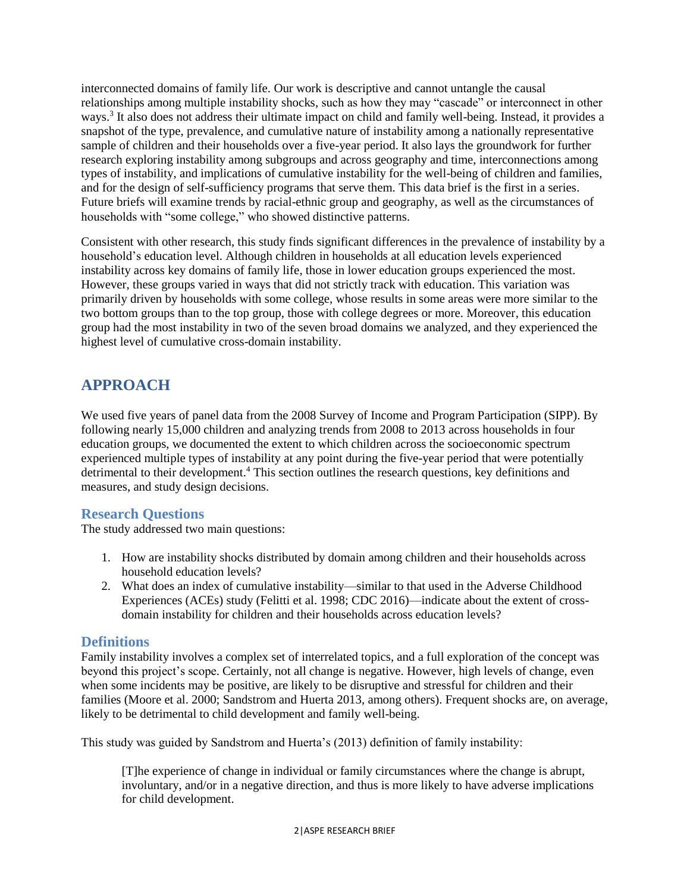interconnected domains of family life. Our work is descriptive and cannot untangle the causal relationships among multiple instability shocks, such as how they may "cascade" or interconnect in other ways. 3 It also does not address their ultimate impact on child and family well-being. Instead, it provides a snapshot of the type, prevalence, and cumulative nature of instability among a nationally representative sample of children and their households over a five-year period. It also lays the groundwork for further research exploring instability among subgroups and across geography and time, interconnections among types of instability, and implications of cumulative instability for the well-being of children and families, and for the design of self-sufficiency programs that serve them. This data brief is the first in a series. Future briefs will examine trends by racial-ethnic group and geography, as well as the circumstances of households with "some college," who showed distinctive patterns.

Consistent with other research, this study finds significant differences in the prevalence of instability by a household's education level. Although children in households at all education levels experienced instability across key domains of family life, those in lower education groups experienced the most. However, these groups varied in ways that did not strictly track with education. This variation was primarily driven by households with some college, whose results in some areas were more similar to the two bottom groups than to the top group, those with college degrees or more. Moreover, this education group had the most instability in two of the seven broad domains we analyzed, and they experienced the highest level of cumulative cross-domain instability.

# **APPROACH**

We used five years of panel data from the 2008 Survey of Income and Program Participation (SIPP). By following nearly 15,000 children and analyzing trends from 2008 to 2013 across households in four education groups, we documented the extent to which children across the socioeconomic spectrum experienced multiple types of instability at any point during the five-year period that were potentially detrimental to their development. <sup>4</sup> This section outlines the research questions, key definitions and measures, and study design decisions.

## **Research Questions**

The study addressed two main questions:

- 1. How are instability shocks distributed by domain among children and their households across household education levels?
- 2. What does an index of cumulative instability—similar to that used in the Adverse Childhood Experiences (ACEs) study (Felitti et al. 1998; CDC 2016)—indicate about the extent of crossdomain instability for children and their households across education levels?

#### **Definitions**

Family instability involves a complex set of interrelated topics, and a full exploration of the concept was beyond this project's scope. Certainly, not all change is negative. However, high levels of change, even when some incidents may be positive, are likely to be disruptive and stressful for children and their families (Moore et al. 2000; Sandstrom and Huerta 2013, among others). Frequent shocks are, on average, likely to be detrimental to child development and family well-being.

This study was guided by Sandstrom and Huerta's (2013) definition of family instability:

[T]he experience of change in individual or family circumstances where the change is abrupt, involuntary, and/or in a negative direction, and thus is more likely to have adverse implications for child development.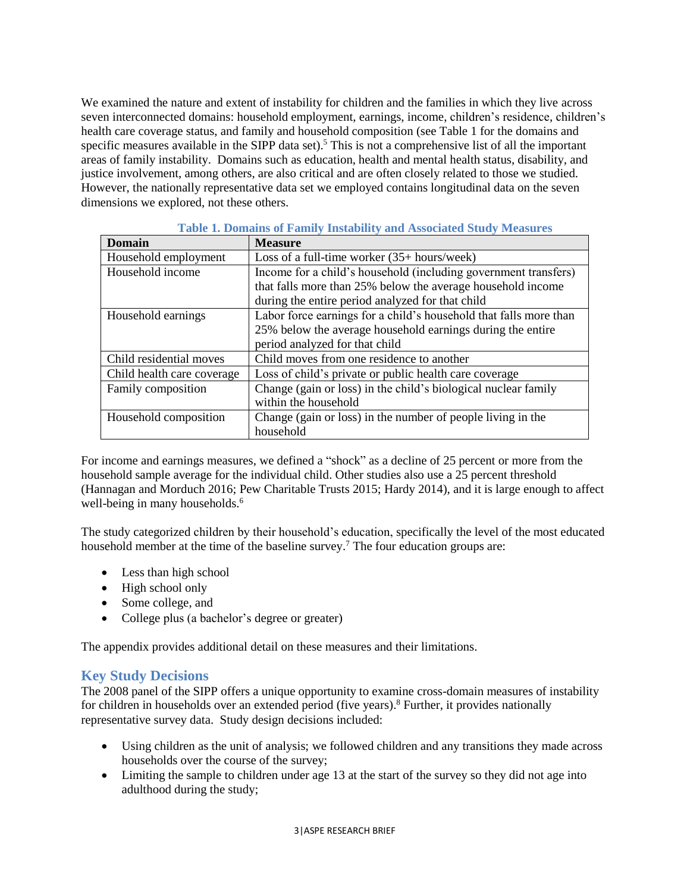We examined the nature and extent of instability for children and the families in which they live across seven interconnected domains: household employment, earnings, income, children's residence, children's health care coverage status, and family and household composition (see Table 1 for the domains and specific measures available in the SIPP data set).<sup>5</sup> This is not a comprehensive list of all the important areas of family instability. Domains such as education, health and mental health status, disability, and justice involvement, among others, are also critical and are often closely related to those we studied. However, the nationally representative data set we employed contains longitudinal data on the seven dimensions we explored, not these others.

| Domain                     | <b>Measure</b>                                                    |
|----------------------------|-------------------------------------------------------------------|
| Household employment       | Loss of a full-time worker $(35 + \text{hours}/\text{week})$      |
| Household income           | Income for a child's household (including government transfers)   |
|                            | that falls more than 25% below the average household income       |
|                            | during the entire period analyzed for that child                  |
| Household earnings         | Labor force earnings for a child's household that falls more than |
|                            | 25% below the average household earnings during the entire        |
|                            | period analyzed for that child                                    |
| Child residential moves    | Child moves from one residence to another                         |
| Child health care coverage | Loss of child's private or public health care coverage            |
| Family composition         | Change (gain or loss) in the child's biological nuclear family    |
|                            | within the household                                              |
| Household composition      | Change (gain or loss) in the number of people living in the       |
|                            | household                                                         |

#### **Table 1. Domains of Family Instability and Associated Study Measures**

For income and earnings measures, we defined a "shock" as a decline of 25 percent or more from the household sample average for the individual child. Other studies also use a 25 percent threshold (Hannagan and Morduch 2016; Pew Charitable Trusts 2015; Hardy 2014), and it is large enough to affect well-being in many households.<sup>6</sup>

The study categorized children by their household's education, specifically the level of the most educated household member at the time of the baseline survey.<sup>7</sup> The four education groups are:

- Less than high school
- High school only
- Some college, and
- College plus (a bachelor's degree or greater)

The appendix provides additional detail on these measures and their limitations.

## **Key Study Decisions**

The 2008 panel of the SIPP offers a unique opportunity to examine cross-domain measures of instability for children in households over an extended period (five years). <sup>8</sup> Further, it provides nationally representative survey data. Study design decisions included:

- Using children as the unit of analysis; we followed children and any transitions they made across households over the course of the survey;
- Limiting the sample to children under age 13 at the start of the survey so they did not age into adulthood during the study;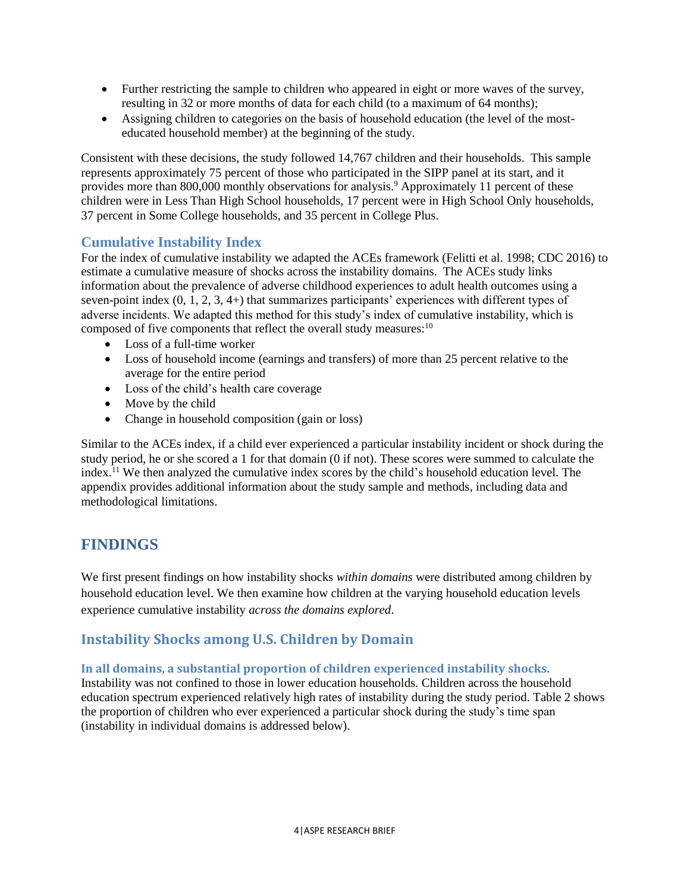- Further restricting the sample to children who appeared in eight or more waves of the survey, resulting in 32 or more months of data for each child (to a maximum of 64 months);
- Assigning children to categories on the basis of household education (the level of the mosteducated household member) at the beginning of the study.

Consistent with these decisions, the study followed 14,767 children and their households. This sample represents approximately 75 percent of those who participated in the SIPP panel at its start, and it provides more than 800,000 monthly observations for analysis.<sup>9</sup> Approximately 11 percent of these children were in Less Than High School households, 17 percent were in High School Only households, 37 percent in Some College households, and 35 percent in College Plus.

## **Cumulative Instability Index**

For the index of cumulative instability we adapted the ACEs framework (Felitti et al. 1998; CDC 2016) to estimate a cumulative measure of shocks across the instability domains. The ACEs study links information about the prevalence of adverse childhood experiences to adult health outcomes using a seven-point index  $(0, 1, 2, 3, 4+)$  that summarizes participants' experiences with different types of adverse incidents. We adapted this method for this study's index of cumulative instability, which is composed of five components that reflect the overall study measures:<sup>10</sup>

- Loss of a full-time worker
- Loss of household income (earnings and transfers) of more than 25 percent relative to the average for the entire period
- Loss of the child's health care coverage
- Move by the child
- Change in household composition (gain or loss)

Similar to the ACEs index, if a child ever experienced a particular instability incident or shock during the study period, he or she scored a 1 for that domain (0 if not). These scores were summed to calculate the index.<sup>11</sup> We then analyzed the cumulative index scores by the child's household education level. The appendix provides additional information about the study sample and methods, including data and methodological limitations.

# **FINDINGS**

We first present findings on how instability shocks *within domains* were distributed among children by household education level. We then examine how children at the varying household education levels experience cumulative instability *across the domains explored*.

# **Instability Shocks among U.S. Children by Domain**

**In all domains, a substantial proportion of children experienced instability shocks.**

Instability was not confined to those in lower education households. Children across the household education spectrum experienced relatively high rates of instability during the study period. Table 2 shows the proportion of children who ever experienced a particular shock during the study's time span (instability in individual domains is addressed below).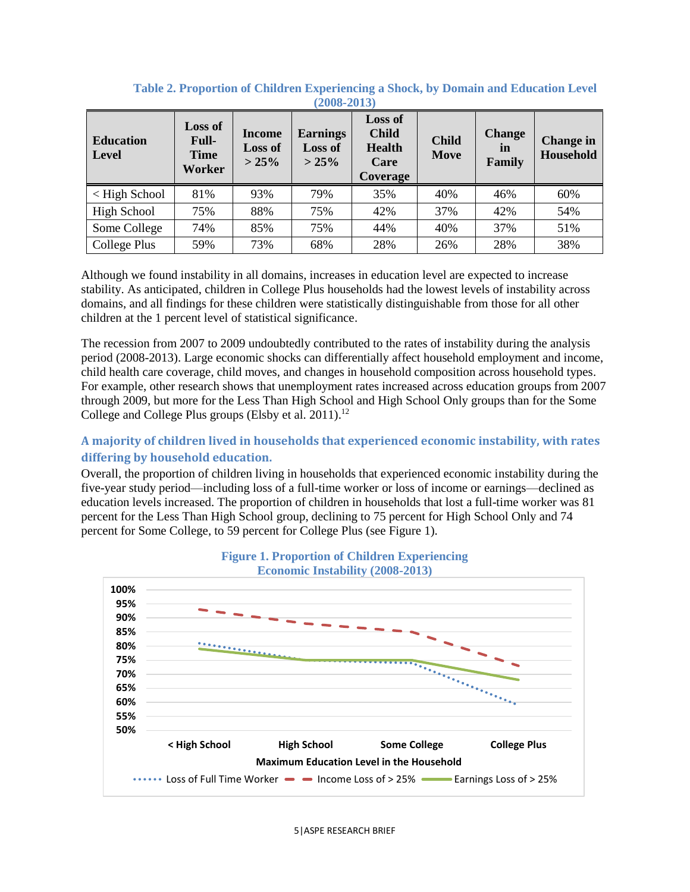| $\boldsymbol{v}$ vvv $\boldsymbol{v}$ |                                                  |                                  |                                               |                                                                            |                      |                               |                               |
|---------------------------------------|--------------------------------------------------|----------------------------------|-----------------------------------------------|----------------------------------------------------------------------------|----------------------|-------------------------------|-------------------------------|
| <b>Education</b><br>Level             | <b>Loss of</b><br>Full-<br><b>Time</b><br>Worker | Income<br><b>Loss of</b><br>>25% | <b>Earnings</b><br><b>Loss of</b><br>$> 25\%$ | <b>Loss of</b><br><b>Child</b><br><b>Health</b><br>Care<br><b>Coverage</b> | <b>Child</b><br>Move | <b>Change</b><br>in<br>Family | <b>Change in</b><br>Household |
| $\leq$ High School                    | 81%                                              | 93%                              | 79%                                           | 35%                                                                        | 40%                  | 46%                           | 60%                           |
| <b>High School</b>                    | 75%                                              | 88%                              | 75%                                           | 42%                                                                        | 37%                  | 42%                           | 54%                           |
| Some College                          | 74%                                              | 85%                              | 75%                                           | 44%                                                                        | 40%                  | 37%                           | 51%                           |
| College Plus                          | 59%                                              | 73%                              | 68%                                           | 28%                                                                        | 26%                  | 28%                           | 38%                           |

#### **Table 2. Proportion of Children Experiencing a Shock, by Domain and Education Level (2008-2013)**

Although we found instability in all domains, increases in education level are expected to increase stability. As anticipated, children in College Plus households had the lowest levels of instability across domains, and all findings for these children were statistically distinguishable from those for all other children at the 1 percent level of statistical significance.

The recession from 2007 to 2009 undoubtedly contributed to the rates of instability during the analysis period (2008-2013). Large economic shocks can differentially affect household employment and income, child health care coverage, child moves, and changes in household composition across household types. For example, other research shows that unemployment rates increased across education groups from 2007 through 2009, but more for the Less Than High School and High School Only groups than for the Some College and College Plus groups (Elsby et al. 2011).<sup>12</sup>

#### **A majority of children lived in households that experienced economic instability, with rates differing by household education.**

Overall, the proportion of children living in households that experienced economic instability during the five-year study period—including loss of a full-time worker or loss of income or earnings—declined as education levels increased. The proportion of children in households that lost a full-time worker was 81 percent for the Less Than High School group, declining to 75 percent for High School Only and 74 percent for Some College, to 59 percent for College Plus (see Figure 1).



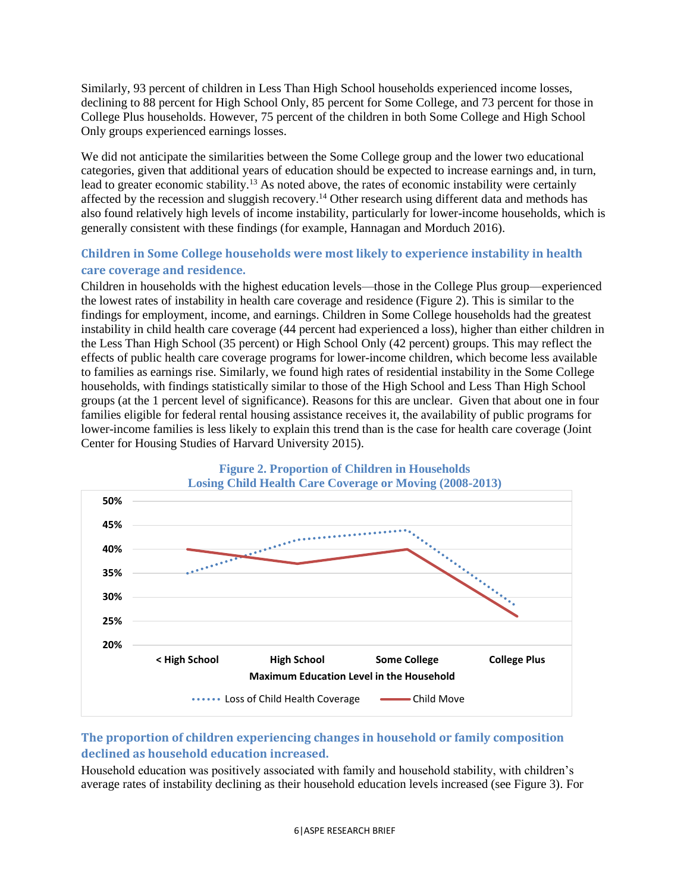Similarly, 93 percent of children in Less Than High School households experienced income losses, declining to 88 percent for High School Only, 85 percent for Some College, and 73 percent for those in College Plus households. However, 75 percent of the children in both Some College and High School Only groups experienced earnings losses.

We did not anticipate the similarities between the Some College group and the lower two educational categories, given that additional years of education should be expected to increase earnings and, in turn, lead to greater economic stability.<sup>13</sup> As noted above, the rates of economic instability were certainly affected by the recession and sluggish recovery.<sup>14</sup> Other research using different data and methods has also found relatively high levels of income instability, particularly for lower-income households, which is generally consistent with these findings (for example, Hannagan and Morduch 2016).

## **Children in Some College households were most likely to experience instability in health care coverage and residence.**

Children in households with the highest education levels—those in the College Plus group—experienced the lowest rates of instability in health care coverage and residence (Figure 2). This is similar to the findings for employment, income, and earnings. Children in Some College households had the greatest instability in child health care coverage (44 percent had experienced a loss), higher than either children in the Less Than High School (35 percent) or High School Only (42 percent) groups. This may reflect the effects of public health care coverage programs for lower-income children, which become less available to families as earnings rise. Similarly, we found high rates of residential instability in the Some College households, with findings statistically similar to those of the High School and Less Than High School groups (at the 1 percent level of significance). Reasons for this are unclear. Given that about one in four families eligible for federal rental housing assistance receives it, the availability of public programs for lower-income families is less likely to explain this trend than is the case for health care coverage (Joint Center for Housing Studies of Harvard University 2015).



## **The proportion of children experiencing changes in household or family composition declined as household education increased.**

Household education was positively associated with family and household stability, with children's average rates of instability declining as their household education levels increased (see Figure 3). For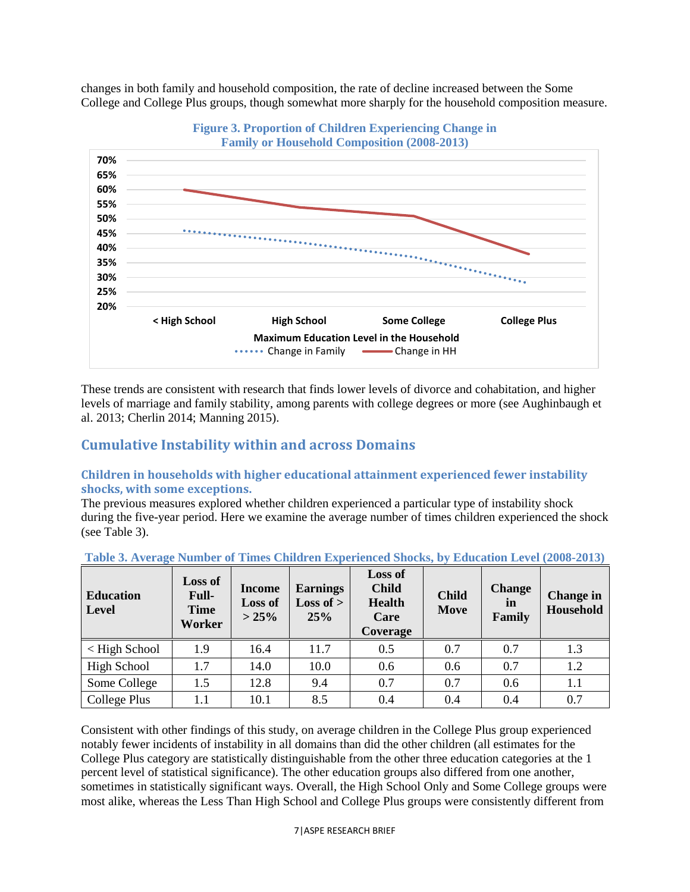changes in both family and household composition, the rate of decline increased between the Some College and College Plus groups, though somewhat more sharply for the household composition measure.





These trends are consistent with research that finds lower levels of divorce and cohabitation, and higher levels of marriage and family stability, among parents with college degrees or more (see Aughinbaugh et al. 2013; Cherlin 2014; Manning 2015).

## **Cumulative Instability within and across Domains**

#### **Children in households with higher educational attainment experienced fewer instability shocks, with some exceptions.**

The previous measures explored whether children experienced a particular type of instability shock during the five-year period. Here we examine the average number of times children experienced the shock (see Table 3).

| <b>Education</b><br><b>Level</b> | <b>Loss of</b><br>Full-<br><b>Time</b><br>Worker | <b>Income</b><br><b>Loss of</b><br>>25% | <b>Earnings</b><br><b>Loss of</b> $>$<br>25% | Loss of<br><b>Child</b><br><b>Health</b><br>Care<br>Coverage | <b>Child</b><br>Move | <b>Change</b><br>in<br>Family | <b>Change</b> in<br><b>Household</b> |
|----------------------------------|--------------------------------------------------|-----------------------------------------|----------------------------------------------|--------------------------------------------------------------|----------------------|-------------------------------|--------------------------------------|
| $\langle$ High School            | 1.9                                              | 16.4                                    | 11.7                                         | 0.5                                                          | 0.7                  | 0.7                           | 1.3                                  |
| <b>High School</b>               | 1.7                                              | 14.0                                    | 10.0                                         | 0.6                                                          | 0.6                  | 0.7                           | 1.2                                  |
| Some College                     | 1.5                                              | 12.8                                    | 9.4                                          | 0.7                                                          | 0.7                  | 0.6                           | 1.1                                  |
| College Plus                     | $1.1\,$                                          | 10.1                                    | 8.5                                          | 0.4                                                          | 0.4                  | 0.4                           | 0.7                                  |

Consistent with other findings of this study, on average children in the College Plus group experienced notably fewer incidents of instability in all domains than did the other children (all estimates for the College Plus category are statistically distinguishable from the other three education categories at the 1 percent level of statistical significance). The other education groups also differed from one another, sometimes in statistically significant ways. Overall, the High School Only and Some College groups were most alike, whereas the Less Than High School and College Plus groups were consistently different from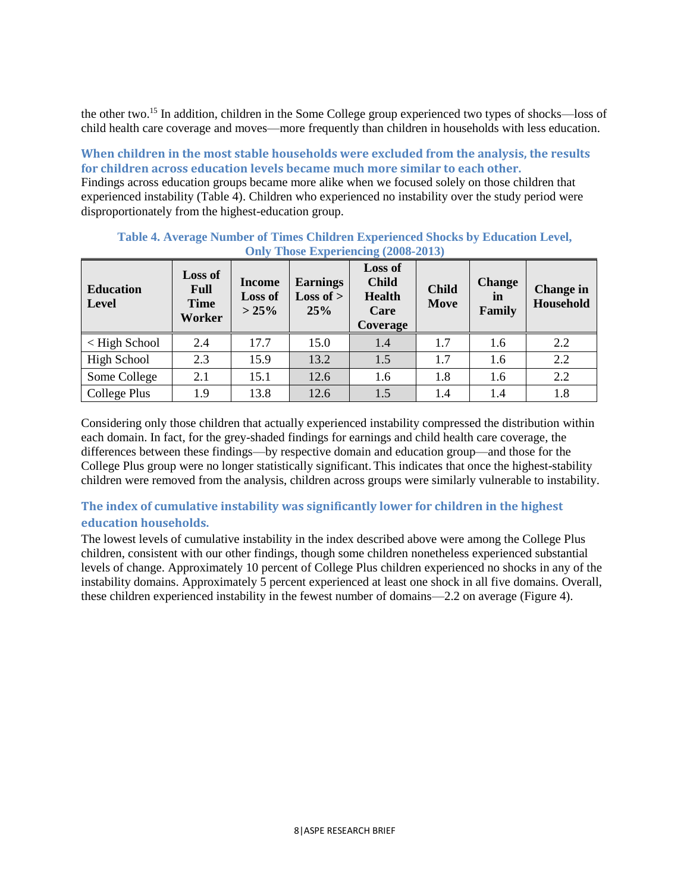the other two.<sup>15</sup> In addition, children in the Some College group experienced two types of shocks—loss of child health care coverage and moves—more frequently than children in households with less education.

**When children in the most stable households were excluded from the analysis, the results for children across education levels became much more similar to each other.** 

Findings across education groups became more alike when we focused solely on those children that experienced instability (Table 4). Children who experienced no instability over the study period were disproportionately from the highest-education group.

| <b>Education</b><br><b>Level</b> | <b>Loss of</b><br>Full<br><b>Time</b><br>Worker | <b>Income</b><br><b>Loss of</b><br>$> 25\%$ | <b>Earnings</b><br>Loss of $>$<br>25% | Loss of<br><b>Child</b><br><b>Health</b><br>Care<br>Coverage | <b>Child</b><br>Move | <b>Change</b><br>in<br>Family | <b>Change</b> in<br>Household |
|----------------------------------|-------------------------------------------------|---------------------------------------------|---------------------------------------|--------------------------------------------------------------|----------------------|-------------------------------|-------------------------------|
| < High School                    | 2.4                                             | 17.7                                        | 15.0                                  | 1.4                                                          | 1.7                  | 1.6                           | 2.2                           |
| <b>High School</b>               | 2.3                                             | 15.9                                        | 13.2                                  | 1.5                                                          | 1.7                  | 1.6                           | 2.2                           |
| Some College                     | 2.1                                             | 15.1                                        | 12.6                                  | 1.6                                                          | 1.8                  | 1.6                           | 2.2                           |
| College Plus                     | 1.9                                             | 13.8                                        | 12.6                                  | 1.5                                                          | 1.4                  | 1.4                           | 1.8                           |

**Table 4. Average Number of Times Children Experienced Shocks by Education Level, Only Those Experiencing (2008-2013)**

Considering only those children that actually experienced instability compressed the distribution within each domain. In fact, for the grey-shaded findings for earnings and child health care coverage, the differences between these findings—by respective domain and education group—and those for the College Plus group were no longer statistically significant. This indicates that once the highest-stability children were removed from the analysis, children across groups were similarly vulnerable to instability.

#### **The index of cumulative instability was significantly lower for children in the highest education households.**

The lowest levels of cumulative instability in the index described above were among the College Plus children, consistent with our other findings, though some children nonetheless experienced substantial levels of change. Approximately 10 percent of College Plus children experienced no shocks in any of the instability domains. Approximately 5 percent experienced at least one shock in all five domains. Overall, these children experienced instability in the fewest number of domains—2.2 on average (Figure 4).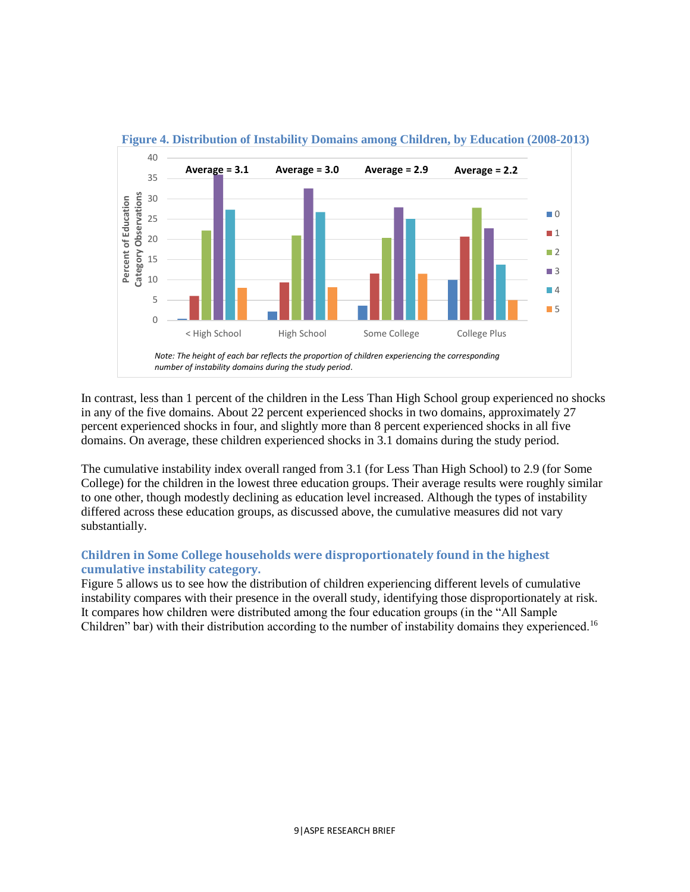

#### **Figure 4. Distribution of Instability Domains among Children, by Education (2008-2013)**

In contrast, less than 1 percent of the children in the Less Than High School group experienced no shocks in any of the five domains. About 22 percent experienced shocks in two domains, approximately 27 percent experienced shocks in four, and slightly more than 8 percent experienced shocks in all five domains. On average, these children experienced shocks in 3.1 domains during the study period.

The cumulative instability index overall ranged from 3.1 (for Less Than High School) to 2.9 (for Some College) for the children in the lowest three education groups. Their average results were roughly similar to one other, though modestly declining as education level increased. Although the types of instability differed across these education groups, as discussed above, the cumulative measures did not vary substantially.

#### **Children in Some College households were disproportionately found in the highest cumulative instability category.**

Figure 5 allows us to see how the distribution of children experiencing different levels of cumulative instability compares with their presence in the overall study, identifying those disproportionately at risk. It compares how children were distributed among the four education groups (in the "All Sample Children" bar) with their distribution according to the number of instability domains they experienced.<sup>16</sup>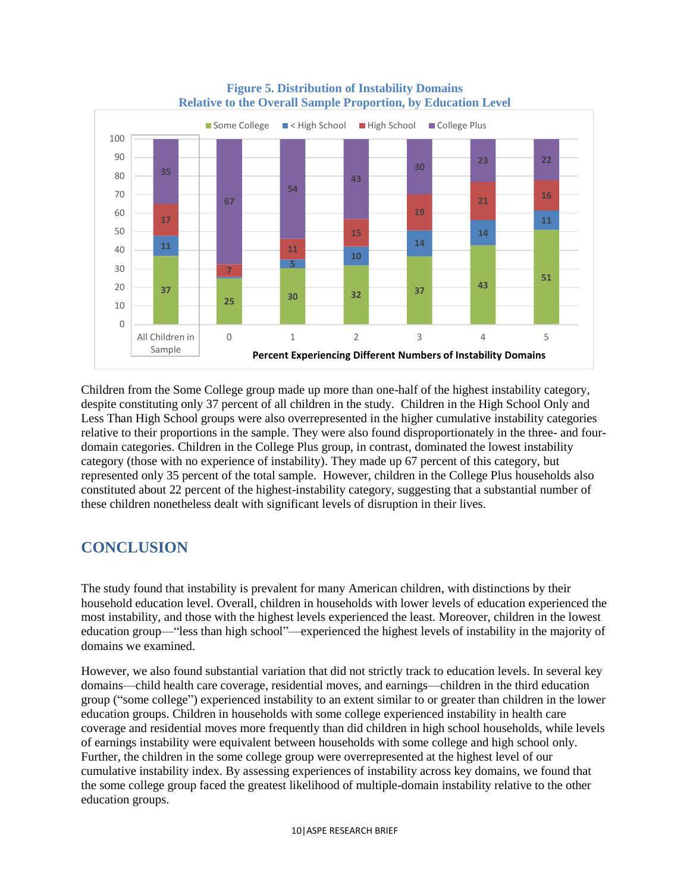

#### **Figure 5. Distribution of Instability Domains Relative to the Overall Sample Proportion, by Education Level**

Children from the Some College group made up more than one-half of the highest instability category, despite constituting only 37 percent of all children in the study. Children in the High School Only and Less Than High School groups were also overrepresented in the higher cumulative instability categories relative to their proportions in the sample. They were also found disproportionately in the three- and fourdomain categories. Children in the College Plus group, in contrast, dominated the lowest instability category (those with no experience of instability). They made up 67 percent of this category, but represented only 35 percent of the total sample. However, children in the College Plus households also constituted about 22 percent of the highest-instability category, suggesting that a substantial number of these children nonetheless dealt with significant levels of disruption in their lives.

# **CONCLUSION**

The study found that instability is prevalent for many American children, with distinctions by their household education level. Overall, children in households with lower levels of education experienced the most instability, and those with the highest levels experienced the least. Moreover, children in the lowest education group—"less than high school"—experienced the highest levels of instability in the majority of domains we examined.

However, we also found substantial variation that did not strictly track to education levels. In several key domains—child health care coverage, residential moves, and earnings—children in the third education group ("some college") experienced instability to an extent similar to or greater than children in the lower education groups. Children in households with some college experienced instability in health care coverage and residential moves more frequently than did children in high school households, while levels of earnings instability were equivalent between households with some college and high school only. Further, the children in the some college group were overrepresented at the highest level of our cumulative instability index. By assessing experiences of instability across key domains, we found that the some college group faced the greatest likelihood of multiple-domain instability relative to the other education groups.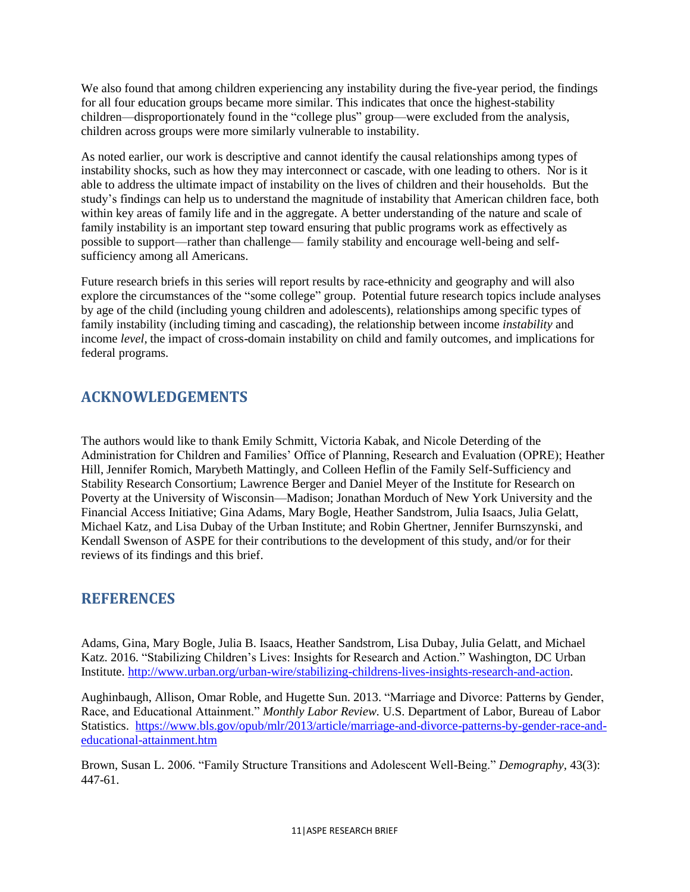We also found that among children experiencing any instability during the five-year period, the findings for all four education groups became more similar. This indicates that once the highest-stability children—disproportionately found in the "college plus" group—were excluded from the analysis, children across groups were more similarly vulnerable to instability.

As noted earlier, our work is descriptive and cannot identify the causal relationships among types of instability shocks, such as how they may interconnect or cascade, with one leading to others. Nor is it able to address the ultimate impact of instability on the lives of children and their households. But the study's findings can help us to understand the magnitude of instability that American children face, both within key areas of family life and in the aggregate. A better understanding of the nature and scale of family instability is an important step toward ensuring that public programs work as effectively as possible to support—rather than challenge— family stability and encourage well-being and selfsufficiency among all Americans.

Future research briefs in this series will report results by race-ethnicity and geography and will also explore the circumstances of the "some college" group. Potential future research topics include analyses by age of the child (including young children and adolescents), relationships among specific types of family instability (including timing and cascading), the relationship between income *instability* and income *level,* the impact of cross-domain instability on child and family outcomes, and implications for federal programs.

# **ACKNOWLEDGEMENTS**

The authors would like to thank Emily Schmitt, Victoria Kabak, and Nicole Deterding of the Administration for Children and Families' Office of Planning, Research and Evaluation (OPRE); Heather Hill, Jennifer Romich, Marybeth Mattingly, and Colleen Heflin of the Family Self-Sufficiency and Stability Research Consortium; Lawrence Berger and Daniel Meyer of the Institute for Research on Poverty at the University of Wisconsin—Madison; Jonathan Morduch of New York University and the Financial Access Initiative; Gina Adams, Mary Bogle, Heather Sandstrom, Julia Isaacs, Julia Gelatt, Michael Katz, and Lisa Dubay of the Urban Institute; and Robin Ghertner, Jennifer Burnszynski, and Kendall Swenson of ASPE for their contributions to the development of this study, and/or for their reviews of its findings and this brief.

# **REFERENCES**

Adams, Gina, Mary Bogle, Julia B. Isaacs, Heather Sandstrom, Lisa Dubay, Julia Gelatt, and Michael Katz. 2016. "Stabilizing Children's Lives: Insights for Research and Action." Washington, DC Urban Institute. [http://www.urban.org/urban-wire/stabilizing-childrens-lives-insights-research-and-action.](http://www.urban.org/urban-wire/stabilizing-childrens-lives-insights-research-and-action)

Aughinbaugh, Allison, Omar Roble, and Hugette Sun. 2013. "Marriage and Divorce: Patterns by Gender, Race, and Educational Attainment." *Monthly Labor Review.* U.S. Department of Labor, Bureau of Labor Statistics. [https://www.bls.gov/opub/mlr/2013/article/marriage-and-divorce-patterns-by-gender-race-and](https://www.bls.gov/opub/mlr/2013/article/marriage-and-divorce-patterns-by-gender-race-and-educational-attainment.htm)[educational-attainment.htm](https://www.bls.gov/opub/mlr/2013/article/marriage-and-divorce-patterns-by-gender-race-and-educational-attainment.htm)

Brown, Susan L. 2006. "Family Structure Transitions and Adolescent Well-Being." *Demography,* 43(3): 447-61.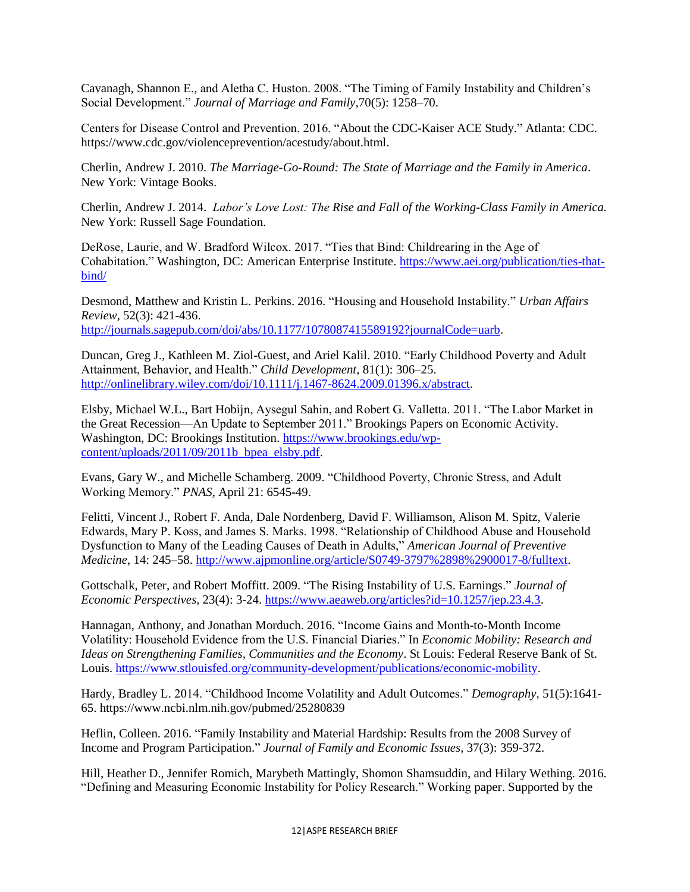Cavanagh, Shannon E., and Aletha C. Huston. 2008. "The Timing of Family Instability and Children's Social Development." *Journal of Marriage and Family,*70(5): 1258–70.

Centers for Disease Control and Prevention. 2016. "About the CDC-Kaiser ACE Study." Atlanta: CDC. https://www.cdc.gov/violenceprevention/acestudy/about.html.

Cherlin, Andrew J. 2010. *The Marriage-Go-Round: The State of Marriage and the Family in America*. New York: Vintage Books.

Cherlin, Andrew J. 2014. *Labor's Love Lost: The Rise and Fall of the Working-Class Family in America.* New York: Russell Sage Foundation.

DeRose, Laurie, and W. Bradford Wilcox. 2017. "Ties that Bind: Childrearing in the Age of Cohabitation." Washington, DC: American Enterprise Institute. [https://www.aei.org/publication/ties-that](https://www.aei.org/publication/ties-that-bind/)[bind/](https://www.aei.org/publication/ties-that-bind/)

Desmond, Matthew and Kristin L. Perkins. 2016. "Housing and Household Instability." *Urban Affairs Review,* 52(3): 421-436. [http://journals.sagepub.com/doi/abs/10.1177/1078087415589192?journalCode=uarb.](http://journals.sagepub.com/doi/abs/10.1177/1078087415589192?journalCode=uarb)

Duncan, Greg J., Kathleen M. Ziol-Guest, and Ariel Kalil. 2010. "Early Childhood Poverty and Adult Attainment, Behavior, and Health." *Child Development,* 81(1): 306–25. [http://onlinelibrary.wiley.com/doi/10.1111/j.1467-8624.2009.01396.x/abstract.](http://onlinelibrary.wiley.com/doi/10.1111/j.1467-8624.2009.01396.x/abstract)

Elsby, Michael W.L., Bart Hobijn, Aysegul Sahin, and Robert G. Valletta. 2011. "The Labor Market in the Great Recession—An Update to September 2011." Brookings Papers on Economic Activity. Washington, DC: Brookings Institution. [https://www.brookings.edu/wp](https://www.brookings.edu/wp-content/uploads/2011/09/2011b_bpea_elsby.pdf)[content/uploads/2011/09/2011b\\_bpea\\_elsby.pdf.](https://www.brookings.edu/wp-content/uploads/2011/09/2011b_bpea_elsby.pdf)

Evans, Gary W., and Michelle Schamberg. 2009. "Childhood Poverty, Chronic Stress, and Adult Working Memory." *PNAS,* April 21: 6545-49.

Felitti, Vincent J., Robert F. Anda, Dale Nordenberg, David F. Williamson, Alison M. Spitz, Valerie Edwards, Mary P. Koss, and James S. Marks. 1998. "Relationship of Childhood Abuse and Household Dysfunction to Many of the Leading Causes of Death in Adults," *American Journal of Preventive Medicine*, 14: 245–58[. http://www.ajpmonline.org/article/S0749-3797%2898%2900017-8/fulltext.](http://www.ajpmonline.org/article/S0749-3797%2898%2900017-8/fulltext)

Gottschalk, Peter, and Robert Moffitt. 2009. "The Rising Instability of U.S. Earnings." *Journal of Economic Perspectives,* 23(4): 3-24. [https://www.aeaweb.org/articles?id=10.1257/jep.23.4.3.](https://www.aeaweb.org/articles?id=10.1257/jep.23.4.3)

Hannagan, Anthony, and Jonathan Morduch. 2016. "Income Gains and Month-to-Month Income Volatility: Household Evidence from the U.S. Financial Diaries." In *Economic Mobility: Research and Ideas on Strengthening Families, Communities and the Economy*. St Louis: Federal Reserve Bank of St. Louis. [https://www.stlouisfed.org/community-development/publications/economic-mobility.](https://www.stlouisfed.org/community-development/publications/economic-mobility)

Hardy, Bradley L. 2014. "Childhood Income Volatility and Adult Outcomes." *Demography,* 51(5):1641- 65. https://www.ncbi.nlm.nih.gov/pubmed/25280839

Heflin, Colleen. 2016. "Family Instability and Material Hardship: Results from the 2008 Survey of Income and Program Participation." *Journal of Family and Economic Issues,* 37(3): 359-372.

Hill, Heather D., Jennifer Romich, Marybeth Mattingly, Shomon Shamsuddin, and Hilary Wething. 2016. "Defining and Measuring Economic Instability for Policy Research." Working paper. Supported by the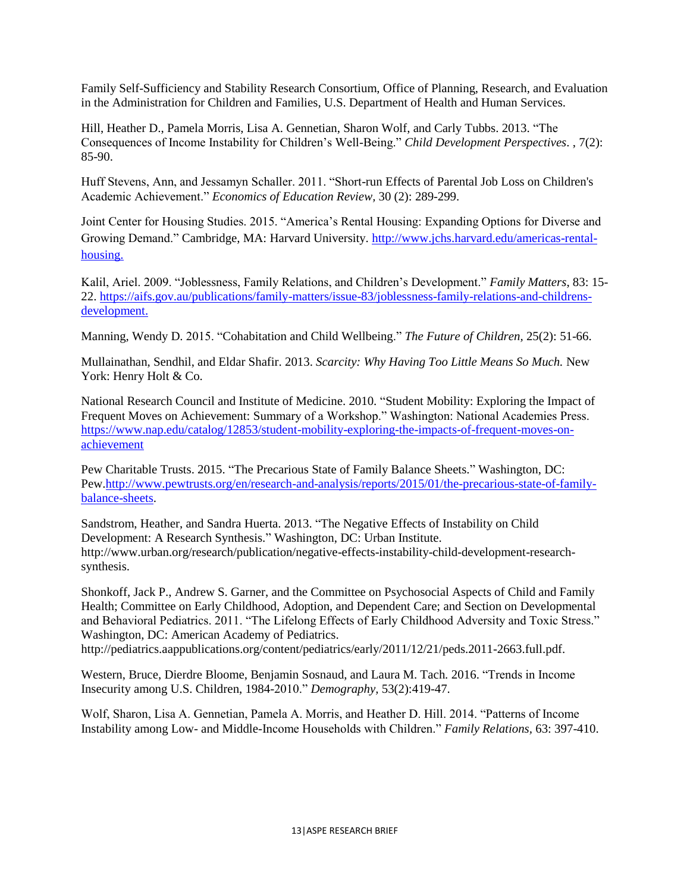Family Self-Sufficiency and Stability Research Consortium, Office of Planning, Research, and Evaluation in the Administration for Children and Families, U.S. Department of Health and Human Services.

Hill, Heather D., Pamela Morris, Lisa A. Gennetian, Sharon Wolf, and Carly Tubbs. 2013. "The Consequences of Income Instability for Children's Well-Being." *Child Development Perspectives*. , 7(2): 85-90.

Huff Stevens, Ann, and Jessamyn Schaller. 2011. "Short-run Effects of Parental Job Loss on Children's Academic Achievement." *Economics of Education Review,* 30 (2): 289-299.

Joint Center for Housing Studies. 2015. "America's Rental Housing: Expanding Options for Diverse and Growing Demand." Cambridge, MA: Harvard University. [http://www.jchs.harvard.edu/americas-rental](http://www.jchs.harvard.edu/americas-rental-housing)[housing.](http://www.jchs.harvard.edu/americas-rental-housing)

Kalil, Ariel. 2009. "Joblessness, Family Relations, and Children's Development." *Family Matters*, 83: 15- 22. [https://aifs.gov.au/publications/family-matters/issue-83/joblessness-family-relations-and-childrens](https://aifs.gov.au/publications/family-matters/issue-83/joblessness-family-relations-and-childrens-development)[development.](https://aifs.gov.au/publications/family-matters/issue-83/joblessness-family-relations-and-childrens-development)

Manning, Wendy D. 2015. "Cohabitation and Child Wellbeing." *The Future of Children,* 25(2): 51-66.

Mullainathan, Sendhil, and Eldar Shafir. 2013. *Scarcity: Why Having Too Little Means So Much.* New York: Henry Holt & Co.

National Research Council and Institute of Medicine. 2010. "Student Mobility: Exploring the Impact of Frequent Moves on Achievement: Summary of a Workshop." Washington: National Academies Press. [https://www.nap.edu/catalog/12853/student-mobility-exploring-the-impacts-of-frequent-moves-on](https://www.nap.edu/catalog/12853/student-mobility-exploring-the-impacts-of-frequent-moves-on-achievement)[achievement](https://www.nap.edu/catalog/12853/student-mobility-exploring-the-impacts-of-frequent-moves-on-achievement)

Pew Charitable Trusts. 2015. "The Precarious State of Family Balance Sheets." Washington, DC: Pe[w.http://www.pewtrusts.org/en/research-and-analysis/reports/2015/01/the-precarious-state-of-family](http://www.pewtrusts.org/en/research-and-analysis/reports/2015/01/the-precarious-state-of-family-balance-sheets)[balance-sheets.](http://www.pewtrusts.org/en/research-and-analysis/reports/2015/01/the-precarious-state-of-family-balance-sheets)

Sandstrom, Heather, and Sandra Huerta. 2013. "The Negative Effects of Instability on Child Development: A Research Synthesis." Washington, DC: Urban Institute. http://www.urban.org/research/publication/negative-effects-instability-child-development-researchsynthesis.

Shonkoff, Jack P., Andrew S. Garner, and the Committee on Psychosocial Aspects of Child and Family Health; Committee on Early Childhood, Adoption, and Dependent Care; and Section on Developmental and Behavioral Pediatrics. 2011. "The Lifelong Effects of Early Childhood Adversity and Toxic Stress." Washington, DC: American Academy of Pediatrics.

http://pediatrics.aappublications.org/content/pediatrics/early/2011/12/21/peds.2011-2663.full.pdf.

Western, Bruce, Dierdre Bloome, Benjamin Sosnaud, and Laura M. Tach. 2016. "Trends in Income Insecurity among U.S. Children, 1984-2010." *Demography,* 53(2):419-47.

Wolf, Sharon, Lisa A. Gennetian, Pamela A. Morris, and Heather D. Hill. 2014. "Patterns of Income Instability among Low- and Middle-Income Households with Children." *Family Relations,* 63: 397-410.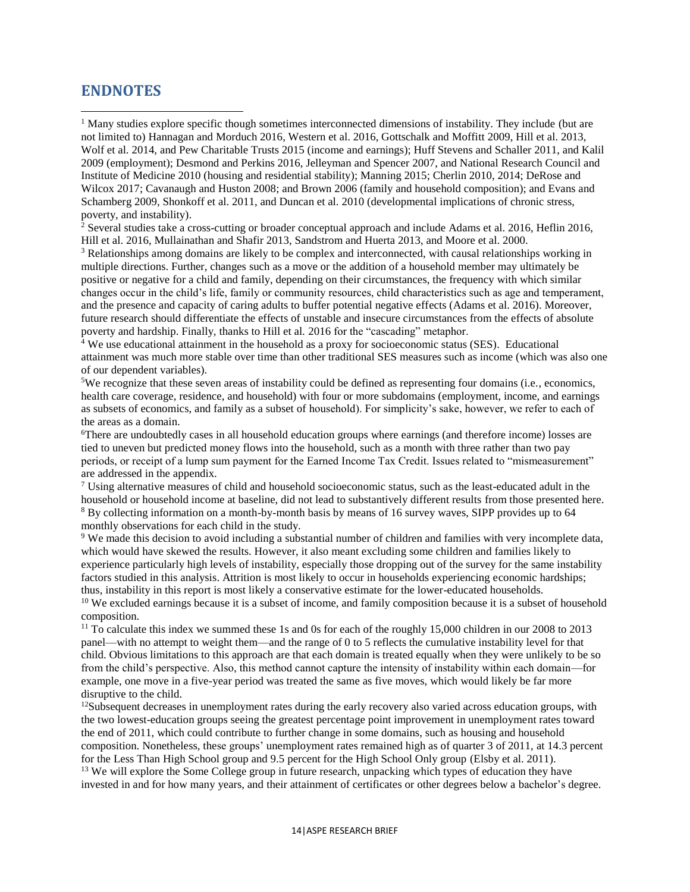## **ENDNOTES**

 $\overline{\phantom{a}}$ 

<sup>1</sup> Many studies explore specific though sometimes interconnected dimensions of instability. They include (but are not limited to) Hannagan and Morduch 2016, Western et al. 2016, Gottschalk and Moffitt 2009, Hill et al. 2013, Wolf et al. 2014, and Pew Charitable Trusts 2015 (income and earnings); Huff Stevens and Schaller 2011, and Kalil 2009 (employment); Desmond and Perkins 2016, Jelleyman and Spencer 2007, and National Research Council and Institute of Medicine 2010 (housing and residential stability); Manning 2015; Cherlin 2010, 2014; DeRose and Wilcox 2017; Cavanaugh and Huston 2008; and Brown 2006 (family and household composition); and Evans and Schamberg 2009, Shonkoff et al. 2011, and Duncan et al. 2010 (developmental implications of chronic stress, poverty, and instability).

 $2$  Several studies take a cross-cutting or broader conceptual approach and include Adams et al. 2016, Heflin 2016, Hill et al. 2016, Mullainathan and Shafir 2013, Sandstrom and Huerta 2013, and Moore et al. 2000.

<sup>3</sup> Relationships among domains are likely to be complex and interconnected, with causal relationships working in multiple directions. Further, changes such as a move or the addition of a household member may ultimately be positive or negative for a child and family, depending on their circumstances, the frequency with which similar changes occur in the child's life, family or community resources, child characteristics such as age and temperament, and the presence and capacity of caring adults to buffer potential negative effects (Adams et al. 2016). Moreover, future research should differentiate the effects of unstable and insecure circumstances from the effects of absolute poverty and hardship. Finally, thanks to Hill et al. 2016 for the "cascading" metaphor.

<sup>4</sup> We use educational attainment in the household as a proxy for socioeconomic status (SES). Educational attainment was much more stable over time than other traditional SES measures such as income (which was also one of our dependent variables).

<sup>5</sup>We recognize that these seven areas of instability could be defined as representing four domains (i.e., economics, health care coverage, residence, and household) with four or more subdomains (employment, income, and earnings as subsets of economics, and family as a subset of household). For simplicity's sake, however, we refer to each of the areas as a domain.

<sup>6</sup>There are undoubtedly cases in all household education groups where earnings (and therefore income) losses are tied to uneven but predicted money flows into the household, such as a month with three rather than two pay periods, or receipt of a lump sum payment for the Earned Income Tax Credit. Issues related to "mismeasurement" are addressed in the appendix.

<sup>7</sup> Using alternative measures of child and household socioeconomic status, such as the least-educated adult in the household or household income at baseline, did not lead to substantively different results from those presented here. <sup>8</sup> By collecting information on a month-by-month basis by means of 16 survey waves, SIPP provides up to 64 monthly observations for each child in the study.

<sup>9</sup> We made this decision to avoid including a substantial number of children and families with very incomplete data, which would have skewed the results. However, it also meant excluding some children and families likely to experience particularly high levels of instability, especially those dropping out of the survey for the same instability factors studied in this analysis. Attrition is most likely to occur in households experiencing economic hardships; thus, instability in this report is most likely a conservative estimate for the lower-educated households.

<sup>10</sup> We excluded earnings because it is a subset of income, and family composition because it is a subset of household composition.

<sup>11</sup> To calculate this index we summed these 1s and 0s for each of the roughly 15,000 children in our 2008 to 2013 panel—with no attempt to weight them—and the range of 0 to 5 reflects the cumulative instability level for that child. Obvious limitations to this approach are that each domain is treated equally when they were unlikely to be so from the child's perspective. Also, this method cannot capture the intensity of instability within each domain—for example, one move in a five-year period was treated the same as five moves, which would likely be far more disruptive to the child.

 $12$ Subsequent decreases in unemployment rates during the early recovery also varied across education groups, with the two lowest-education groups seeing the greatest percentage point improvement in unemployment rates toward the end of 2011, which could contribute to further change in some domains, such as housing and household composition. Nonetheless, these groups' unemployment rates remained high as of quarter 3 of 2011, at 14.3 percent for the Less Than High School group and 9.5 percent for the High School Only group (Elsby et al. 2011).

<sup>13</sup> We will explore the Some College group in future research, unpacking which types of education they have invested in and for how many years, and their attainment of certificates or other degrees below a bachelor's degree.